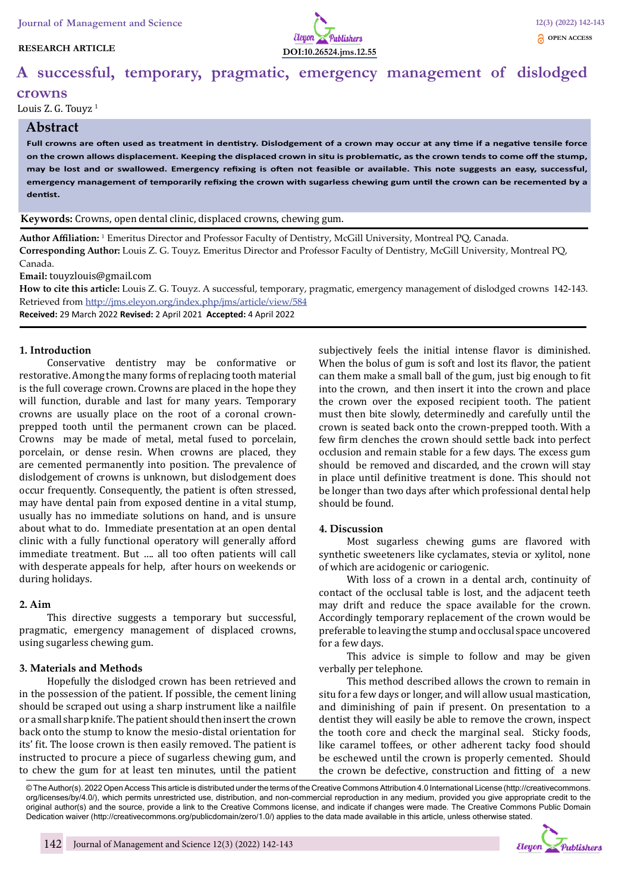### **RESEARCH ARTICLE**



# **A successful, temporary, pragmatic, emergency management of dislodged**

#### **crowns**

Louis Z. G. Touyz<sup>1</sup>

## **Abstract**

**Full crowns are often used as treatment in dentistry. Dislodgement of a crown may occur at any time if a negative tensile force on the crown allows displacement. Keeping the displaced crown in situ is problematic, as the crown tends to come off the stump, may be lost and or swallowed. Emergency refixing is often not feasible or available. This note suggests an easy, successful, emergency management of temporarily refixing the crown with sugarless chewing gum until the crown can be recemented by a dentist.**

**Keywords:** Crowns, open dental clinic, displaced crowns, chewing gum.

**Author Affiliation:** 1 Emeritus Director and Professor Faculty of Dentistry, McGill University, Montreal PQ, Canada. **Corresponding Author:** Louis Z. G. Touyz. Emeritus Director and Professor Faculty of Dentistry, McGill University, Montreal PQ, Canada.

**Email:** touyzlouis@gmail.com

**How to cite this article:** Louis Z. G. Touyz. A successful, temporary, pragmatic, emergency management of dislodged crowns 142-143. Retrieved from http://jms.eleyon.org/index.php/jms/article/view/584

**Received:** 29 March 2022 **Revised:** 2 April 2021 **Accepted:** 4 April 2022

### **1. Introduction**

Conservative dentistry may be conformative or restorative. Among the many forms of replacing tooth material is the full coverage crown. Crowns are placed in the hope they will function, durable and last for many years. Temporary crowns are usually place on the root of a coronal crownprepped tooth until the permanent crown can be placed. Crowns may be made of metal, metal fused to porcelain, porcelain, or dense resin. When crowns are placed, they are cemented permanently into position. The prevalence of dislodgement of crowns is unknown, but dislodgement does occur frequently. Consequently, the patient is often stressed, may have dental pain from exposed dentine in a vital stump, usually has no immediate solutions on hand, and is unsure about what to do. Immediate presentation at an open dental clinic with a fully functional operatory will generally afford immediate treatment. But …. all too often patients will call with desperate appeals for help, after hours on weekends or during holidays.

## **2. Aim**

This directive suggests a temporary but successful, pragmatic, emergency management of displaced crowns, using sugarless chewing gum.

## **3. Materials and Methods**

Hopefully the dislodged crown has been retrieved and in the possession of the patient. If possible, the cement lining should be scraped out using a sharp instrument like a nailfile or a small sharp knife. The patient should then insert the crown back onto the stump to know the mesio-distal orientation for its' fit. The loose crown is then easily removed. The patient is instructed to procure a piece of sugarless chewing gum, and to chew the gum for at least ten minutes, until the patient

subjectively feels the initial intense flavor is diminished. When the bolus of gum is soft and lost its flavor, the patient can them make a small ball of the gum, just big enough to fit into the crown, and then insert it into the crown and place the crown over the exposed recipient tooth. The patient must then bite slowly, determinedly and carefully until the crown is seated back onto the crown-prepped tooth. With a few firm clenches the crown should settle back into perfect occlusion and remain stable for a few days. The excess gum should be removed and discarded, and the crown will stay in place until definitive treatment is done. This should not be longer than two days after which professional dental help should be found.

#### **4. Discussion**

Most sugarless chewing gums are flavored with synthetic sweeteners like cyclamates, stevia or xylitol, none of which are acidogenic or cariogenic.

With loss of a crown in a dental arch, continuity of contact of the occlusal table is lost, and the adjacent teeth may drift and reduce the space available for the crown. Accordingly temporary replacement of the crown would be preferable to leaving the stump and occlusal space uncovered for a few days.

This advice is simple to follow and may be given verbally per telephone.

This method described allows the crown to remain in situ for a few days or longer, and will allow usual mastication, and diminishing of pain if present. On presentation to a dentist they will easily be able to remove the crown, inspect the tooth core and check the marginal seal. Sticky foods, like caramel toffees, or other adherent tacky food should be eschewed until the crown is properly cemented. Should the crown be defective, construction and fitting of a new

© The Author(s). 2022 Open Access This article is distributed under the terms of the Creative Commons Attribution 4.0 International License (http://creativecommons. org/licenses/by/4.0/), which permits unrestricted use, distribution, and non-commercial reproduction in any medium, provided you give appropriate credit to the original author(s) and the source, provide a link to the Creative Commons license, and indicate if changes were made. The Creative Commons Public Domain Dedication waiver (http://creativecommons.org/publicdomain/zero/1.0/) applies to the data made available in this article, unless otherwise stated.